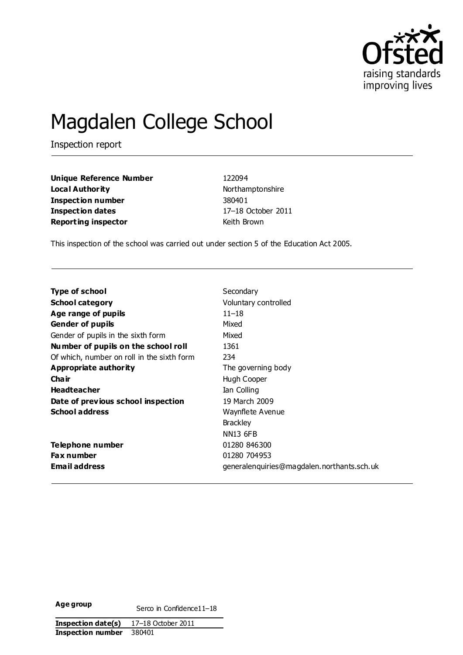

# Magdalen College School

Inspection report

**Unique Reference Number** 122094 **Local Authority Northamptonshire Inspection number** 380401 **Inspection dates** 17–18 October 2011 **Reporting inspector Reporting inspector Reporting** 

This inspection of the school was carried out under section 5 of the Education Act 2005.

| <b>Type of school</b>                      | Secondary                                   |
|--------------------------------------------|---------------------------------------------|
| <b>School category</b>                     | Voluntary controlled                        |
| Age range of pupils                        | $11 - 18$                                   |
| <b>Gender of pupils</b>                    | Mixed                                       |
| Gender of pupils in the sixth form         | Mixed                                       |
| Number of pupils on the school roll        | 1361                                        |
| Of which, number on roll in the sixth form | 234                                         |
| Appropriate authority                      | The governing body                          |
| Cha ir                                     | Hugh Cooper                                 |
| <b>Headteacher</b>                         | Ian Colling                                 |
| Date of previous school inspection         | 19 March 2009                               |
| <b>School address</b>                      | Waynflete Avenue                            |
|                                            | <b>Brackley</b>                             |
|                                            | <b>NN13 6FB</b>                             |
| Telephone number                           | 01280 846300                                |
| <b>Fax number</b>                          | 01280 704953                                |
| Email address                              | generalen quiries@magdalen.northants.sch.uk |

**Age group Serco in Confidence11–18**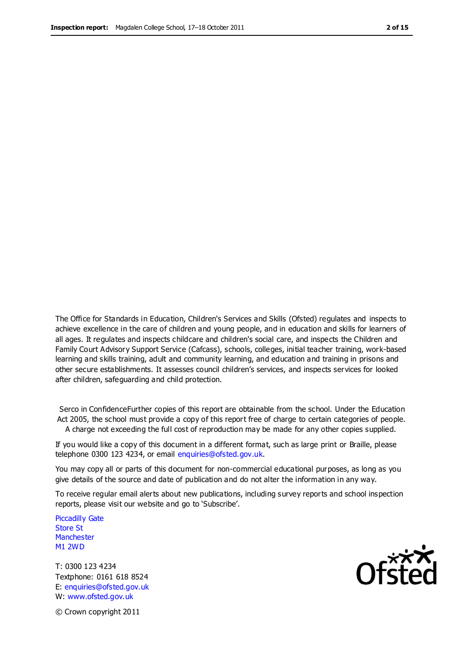The Office for Standards in Education, Children's Services and Skills (Ofsted) regulates and inspects to achieve excellence in the care of children and young people, and in education and skills for learners of all ages. It regulates and inspects childcare and children's social care, and inspects the Children and Family Court Advisory Support Service (Cafcass), schools, colleges, initial teacher training, work-based learning and skills training, adult and community learning, and education and training in prisons and other secure establishments. It assesses council children's services, and inspects services for looked after children, safeguarding and child protection.

Serco in ConfidenceFurther copies of this report are obtainable from the school. Under the Education Act 2005, the school must provide a copy of this report free of charge to certain categories of people. A charge not exceeding the full cost of reproduction may be made for any other copies supplied.

If you would like a copy of this document in a different format, such as large print or Braille, please telephone 0300 123 4234, or email enquiries@ofsted.gov.uk.

You may copy all or parts of this document for non-commercial educational purposes, as long as you give details of the source and date of publication and do not alter the information in any way.

To receive regular email alerts about new publications, including survey reports and school inspection reports, please visit our website and go to 'Subscribe'.

Piccadilly Gate Store St **Manchester** M1 2WD

T: 0300 123 4234 Textphone: 0161 618 8524 E: enquiries@ofsted.gov.uk W: www.ofsted.gov.uk

**Ofsted** 

© Crown copyright 2011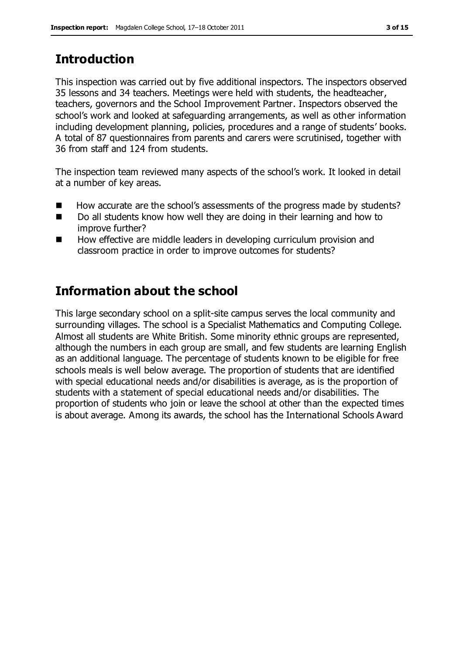# **Introduction**

This inspection was carried out by five additional inspectors. The inspectors observed 35 lessons and 34 teachers. Meetings were held with students, the headteacher, teachers, governors and the School Improvement Partner. Inspectors observed the school's work and looked at safeguarding arrangements, as well as other information including development planning, policies, procedures and a range of students' books. A total of 87 questionnaires from parents and carers were scrutinised, together with 36 from staff and 124 from students.

The inspection team reviewed many aspects of the school's work. It looked in detail at a number of key areas.

- How accurate are the school's assessments of the progress made by students?
- Do all students know how well they are doing in their learning and how to improve further?
- How effective are middle leaders in developing curriculum provision and classroom practice in order to improve outcomes for students?

# **Information about the school**

This large secondary school on a split-site campus serves the local community and surrounding villages. The school is a Specialist Mathematics and Computing College. Almost all students are White British. Some minority ethnic groups are represented, although the numbers in each group are small, and few students are learning English as an additional language. The percentage of students known to be eligible for free schools meals is well below average. The proportion of students that are identified with special educational needs and/or disabilities is average, as is the proportion of students with a statement of special educational needs and/or disabilities. The proportion of students who join or leave the school at other than the expected times is about average. Among its awards, the school has the International Schools Award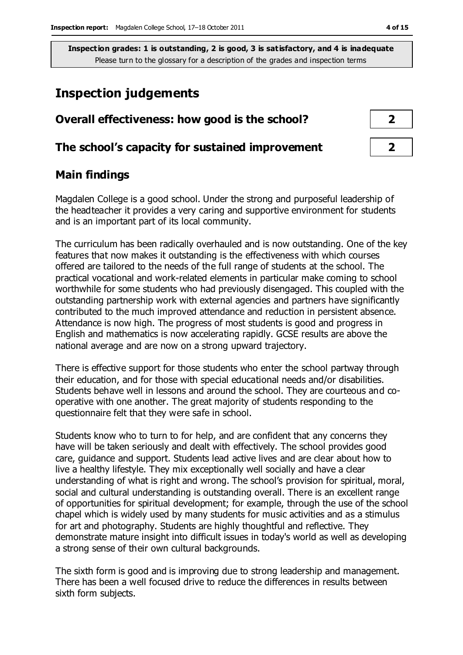# **Inspection judgements**

| Overall effectiveness: how good is the school?  |  |  |
|-------------------------------------------------|--|--|
| The school's capacity for sustained improvement |  |  |

## **Main findings**

Magdalen College is a good school. Under the strong and purposeful leadership of the headteacher it provides a very caring and supportive environment for students and is an important part of its local community.

The curriculum has been radically overhauled and is now outstanding. One of the key features that now makes it outstanding is the effectiveness with which courses offered are tailored to the needs of the full range of students at the school. The practical vocational and work-related elements in particular make coming to school worthwhile for some students who had previously disengaged. This coupled with the outstanding partnership work with external agencies and partners have significantly contributed to the much improved attendance and reduction in persistent absence. Attendance is now high. The progress of most students is good and progress in English and mathematics is now accelerating rapidly. GCSE results are above the national average and are now on a strong upward trajectory.

There is effective support for those students who enter the school partway through their education, and for those with special educational needs and/or disabilities. Students behave well in lessons and around the school. They are courteous and cooperative with one another. The great majority of students responding to the questionnaire felt that they were safe in school.

Students know who to turn to for help, and are confident that any concerns they have will be taken seriously and dealt with effectively. The school provides good care, guidance and support. Students lead active lives and are clear about how to live a healthy lifestyle. They mix exceptionally well socially and have a clear understanding of what is right and wrong. The school's provision for spiritual, moral, social and cultural understanding is outstanding overall. There is an excellent range of opportunities for spiritual development; for example, through the use of the school chapel which is widely used by many students for music activities and as a stimulus for art and photography. Students are highly thoughtful and reflective. They demonstrate mature insight into difficult issues in today's world as well as developing a strong sense of their own cultural backgrounds.

The sixth form is good and is improving due to strong leadership and management. There has been a well focused drive to reduce the differences in results between sixth form subjects.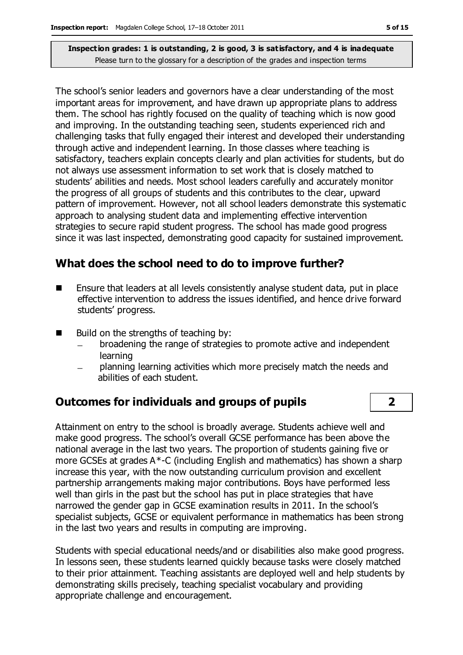The school's senior leaders and governors have a clear understanding of the most important areas for improvement, and have drawn up appropriate plans to address them. The school has rightly focused on the quality of teaching which is now good and improving. In the outstanding teaching seen, students experienced rich and challenging tasks that fully engaged their interest and developed their understanding through active and independent learning. In those classes where teaching is satisfactory, teachers explain concepts clearly and plan activities for students, but do not always use assessment information to set work that is closely matched to students' abilities and needs. Most school leaders carefully and accurately monitor the progress of all groups of students and this contributes to the clear, upward pattern of improvement. However, not all school leaders demonstrate this systematic approach to analysing student data and implementing effective intervention strategies to secure rapid student progress. The school has made good progress since it was last inspected, demonstrating good capacity for sustained improvement.

## **What does the school need to do to improve further?**

- $\blacksquare$  Ensure that leaders at all levels consistently analyse student data, put in place effective intervention to address the issues identified, and hence drive forward students' progress.
- $\blacksquare$  Build on the strengths of teaching by:
	- broadening the range of strategies to promote active and independent learning
	- planning learning activities which more precisely match the needs and abilities of each student.

## **Outcomes for individuals and groups of pupils 2**

Attainment on entry to the school is broadly average. Students achieve well and make good progress. The school's overall GCSE performance has been above the national average in the last two years. The proportion of students gaining five or more GCSEs at grades A\*-C (including English and mathematics) has shown a sharp increase this year, with the now outstanding curriculum provision and excellent partnership arrangements making major contributions. Boys have performed less well than girls in the past but the school has put in place strategies that have narrowed the gender gap in GCSE examination results in 2011. In the school's specialist subjects, GCSE or equivalent performance in mathematics has been strong in the last two years and results in computing are improving.

Students with special educational needs/and or disabilities also make good progress. In lessons seen, these students learned quickly because tasks were closely matched to their prior attainment. Teaching assistants are deployed well and help students by demonstrating skills precisely, teaching specialist vocabulary and providing appropriate challenge and encouragement.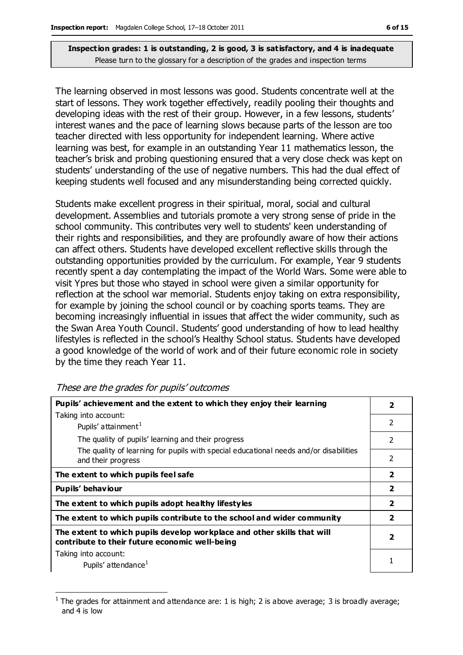The learning observed in most lessons was good. Students concentrate well at the start of lessons. They work together effectively, readily pooling their thoughts and developing ideas with the rest of their group. However, in a few lessons, students' interest wanes and the pace of learning slows because parts of the lesson are too teacher directed with less opportunity for independent learning. Where active learning was best, for example in an outstanding Year 11 mathematics lesson, the teacher's brisk and probing questioning ensured that a very close check was kept on students' understanding of the use of negative numbers. This had the dual effect of keeping students well focused and any misunderstanding being corrected quickly.

Students make excellent progress in their spiritual, moral, social and cultural development. Assemblies and tutorials promote a very strong sense of pride in the school community. This contributes very well to students' keen understanding of their rights and responsibilities, and they are profoundly aware of how their actions can affect others. Students have developed excellent reflective skills through the outstanding opportunities provided by the curriculum. For example, Year 9 students recently spent a day contemplating the impact of the World Wars. Some were able to visit Ypres but those who stayed in school were given a similar opportunity for reflection at the school war memorial. Students enjoy taking on extra responsibility, for example by joining the school council or by coaching sports teams. They are becoming increasingly influential in issues that affect the wider community, such as the Swan Area Youth Council. Students' good understanding of how to lead healthy lifestyles is reflected in the school's Healthy School status. Students have developed a good knowledge of the world of work and of their future economic role in society by the time they reach Year 11.

| Pupils' achievement and the extent to which they enjoy their learning                                                     |                         |
|---------------------------------------------------------------------------------------------------------------------------|-------------------------|
| Taking into account:                                                                                                      |                         |
| Pupils' attainment <sup>1</sup>                                                                                           | $\mathcal{P}$           |
| The quality of pupils' learning and their progress                                                                        | $\overline{2}$          |
| The quality of learning for pupils with special educational needs and/or disabilities<br>and their progress               | 2                       |
| The extent to which pupils feel safe                                                                                      | $\overline{2}$          |
| Pupils' behaviour                                                                                                         | $\overline{2}$          |
| The extent to which pupils adopt healthy lifestyles                                                                       | $\overline{\mathbf{2}}$ |
| The extent to which pupils contribute to the school and wider community                                                   | $\overline{\mathbf{2}}$ |
| The extent to which pupils develop workplace and other skills that will<br>contribute to their future economic well-being | $\overline{\mathbf{2}}$ |
| Taking into account:                                                                                                      |                         |
| Pupils' attendance <sup>1</sup>                                                                                           |                         |

These are the grades for pupils' outcomes

 $\overline{a}$ 

<sup>1</sup> The grades for attainment and attendance are: 1 is high; 2 is above average; 3 is broadly average; and 4 is low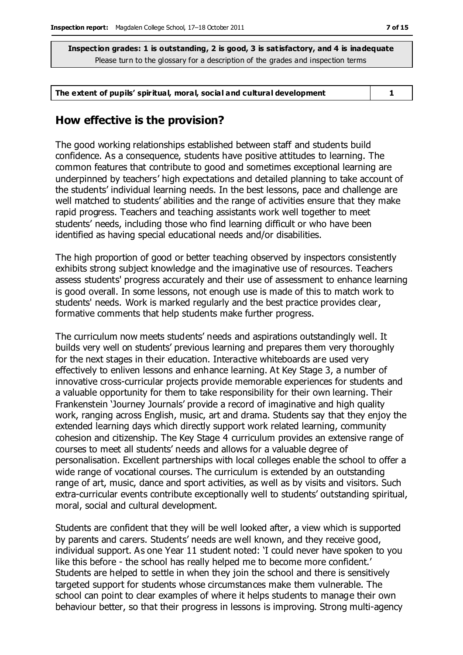#### **The extent of pupils' spiritual, moral, social and cultural development 1**

#### **How effective is the provision?**

The good working relationships established between staff and students build confidence. As a consequence, students have positive attitudes to learning. The common features that contribute to good and sometimes exceptional learning are underpinned by teachers' high expectations and detailed planning to take account of the students' individual learning needs. In the best lessons, pace and challenge are well matched to students' abilities and the range of activities ensure that they make rapid progress. Teachers and teaching assistants work well together to meet students' needs, including those who find learning difficult or who have been identified as having special educational needs and/or disabilities.

The high proportion of good or better teaching observed by inspectors consistently exhibits strong subject knowledge and the imaginative use of resources. Teachers assess students' progress accurately and their use of assessment to enhance learning is good overall. In some lessons, not enough use is made of this to match work to students' needs. Work is marked regularly and the best practice provides clear, formative comments that help students make further progress.

The curriculum now meets students' needs and aspirations outstandingly well. It builds very well on students' previous learning and prepares them very thoroughly for the next stages in their education. Interactive whiteboards are used very effectively to enliven lessons and enhance learning. At Key Stage 3, a number of innovative cross-curricular projects provide memorable experiences for students and a valuable opportunity for them to take responsibility for their own learning. Their Frankenstein 'Journey Journals' provide a record of imaginative and high quality work, ranging across English, music, art and drama. Students say that they enjoy the extended learning days which directly support work related learning, community cohesion and citizenship. The Key Stage 4 curriculum provides an extensive range of courses to meet all students' needs and allows for a valuable degree of personalisation. Excellent partnerships with local colleges enable the school to offer a wide range of vocational courses. The curriculum is extended by an outstanding range of art, music, dance and sport activities, as well as by visits and visitors. Such extra-curricular events contribute exceptionally well to students' outstanding spiritual, moral, social and cultural development.

Students are confident that they will be well looked after, a view which is supported by parents and carers. Students' needs are well known, and they receive good, individual support. As one Year 11 student noted: 'I could never have spoken to you like this before - the school has really helped me to become more confident.' Students are helped to settle in when they join the school and there is sensitively targeted support for students whose circumstances make them vulnerable. The school can point to clear examples of where it helps students to manage their own behaviour better, so that their progress in lessons is improving. Strong multi-agency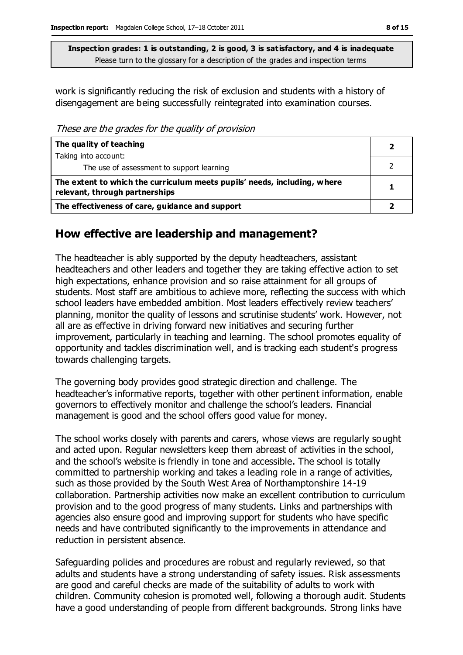work is significantly reducing the risk of exclusion and students with a history of disengagement are being successfully reintegrated into examination courses.

These are the grades for the quality of provision

| The quality of teaching                                                                                    |  |
|------------------------------------------------------------------------------------------------------------|--|
| Taking into account:                                                                                       |  |
| The use of assessment to support learning                                                                  |  |
| The extent to which the curriculum meets pupils' needs, including, where<br>relevant, through partnerships |  |
| The effectiveness of care, guidance and support                                                            |  |

## **How effective are leadership and management?**

The headteacher is ably supported by the deputy headteachers, assistant headteachers and other leaders and together they are taking effective action to set high expectations, enhance provision and so raise attainment for all groups of students. Most staff are ambitious to achieve more, reflecting the success with which school leaders have embedded ambition. Most leaders effectively review teachers' planning, monitor the quality of lessons and scrutinise students' work. However, not all are as effective in driving forward new initiatives and securing further improvement, particularly in teaching and learning. The school promotes equality of opportunity and tackles discrimination well, and is tracking each student's progress towards challenging targets.

The governing body provides good strategic direction and challenge. The headteacher's informative reports, together with other pertinent information, enable governors to effectively monitor and challenge the school's leaders. Financial management is good and the school offers good value for money.

The school works closely with parents and carers, whose views are regularly sought and acted upon. Regular newsletters keep them abreast of activities in the school, and the school's website is friendly in tone and accessible. The school is totally committed to partnership working and takes a leading role in a range of activities, such as those provided by the South West Area of Northamptonshire 14-19 collaboration. Partnership activities now make an excellent contribution to curriculum provision and to the good progress of many students. Links and partnerships with agencies also ensure good and improving support for students who have specific needs and have contributed significantly to the improvements in attendance and reduction in persistent absence.

Safeguarding policies and procedures are robust and regularly reviewed, so that adults and students have a strong understanding of safety issues. Risk assessments are good and careful checks are made of the suitability of adults to work with children. Community cohesion is promoted well, following a thorough audit. Students have a good understanding of people from different backgrounds. Strong links have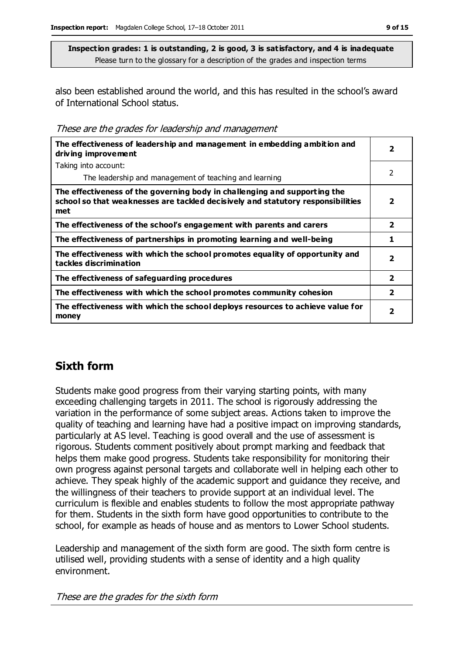also been established around the world, and this has resulted in the school's award of International School status.

These are the grades for leadership and management

| The effectiveness of leadership and management in embedding ambition and<br>driving improvement                                                                     |                         |
|---------------------------------------------------------------------------------------------------------------------------------------------------------------------|-------------------------|
| Taking into account:                                                                                                                                                |                         |
| The leadership and management of teaching and learning                                                                                                              | $\overline{2}$          |
| The effectiveness of the governing body in challenging and supporting the<br>school so that weaknesses are tackled decisively and statutory responsibilities<br>met | $\overline{\mathbf{2}}$ |
| The effectiveness of the school's engagement with parents and carers                                                                                                | $\overline{\mathbf{2}}$ |
| The effectiveness of partnerships in promoting learning and well-being                                                                                              | 1                       |
| The effectiveness with which the school promotes equality of opportunity and<br>tackles discrimination                                                              | $\overline{\mathbf{2}}$ |
| The effectiveness of safeguarding procedures                                                                                                                        | $\overline{2}$          |
| The effectiveness with which the school promotes community cohesion                                                                                                 | $\overline{\mathbf{2}}$ |
| The effectiveness with which the school deploys resources to achieve value for<br>money                                                                             | $\overline{\mathbf{2}}$ |

## **Sixth form**

Students make good progress from their varying starting points, with many exceeding challenging targets in 2011. The school is rigorously addressing the variation in the performance of some subject areas. Actions taken to improve the quality of teaching and learning have had a positive impact on improving standards, particularly at AS level. Teaching is good overall and the use of assessment is rigorous. Students comment positively about prompt marking and feedback that helps them make good progress. Students take responsibility for monitoring their own progress against personal targets and collaborate well in helping each other to achieve. They speak highly of the academic support and guidance they receive, and the willingness of their teachers to provide support at an individual level. The curriculum is flexible and enables students to follow the most appropriate pathway for them. Students in the sixth form have good opportunities to contribute to the school, for example as heads of house and as mentors to Lower School students.

Leadership and management of the sixth form are good. The sixth form centre is utilised well, providing students with a sense of identity and a high quality environment.

These are the grades for the sixth form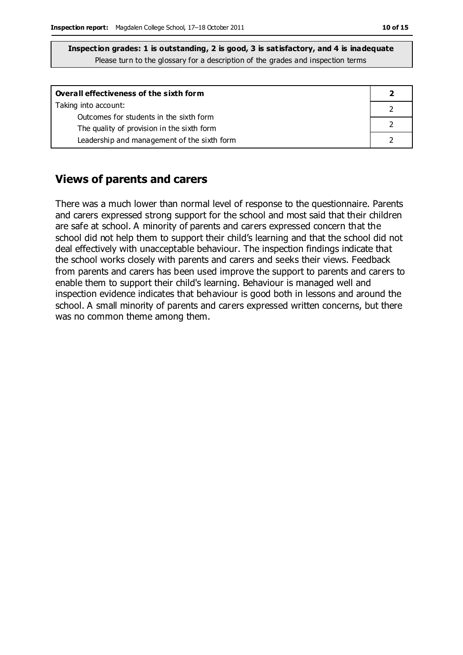| Inspection grades: 1 is outstanding, 2 is good, 3 is satisfactory, and 4 is inadequate |
|----------------------------------------------------------------------------------------|
| Please turn to the glossary for a description of the grades and inspection terms       |

| Overall effectiveness of the sixth form                                               |  |
|---------------------------------------------------------------------------------------|--|
| Taking into account:                                                                  |  |
| Outcomes for students in the sixth form<br>The quality of provision in the sixth form |  |
| Leadership and management of the sixth form                                           |  |

#### **Views of parents and carers**

There was a much lower than normal level of response to the questionnaire. Parents and carers expressed strong support for the school and most said that their children are safe at school. A minority of parents and carers expressed concern that the school did not help them to support their child's learning and that the school did not deal effectively with unacceptable behaviour. The inspection findings indicate that the school works closely with parents and carers and seeks their views. Feedback from parents and carers has been used improve the support to parents and carers to enable them to support their child's learning. Behaviour is managed well and inspection evidence indicates that behaviour is good both in lessons and around the school. A small minority of parents and carers expressed written concerns, but there was no common theme among them.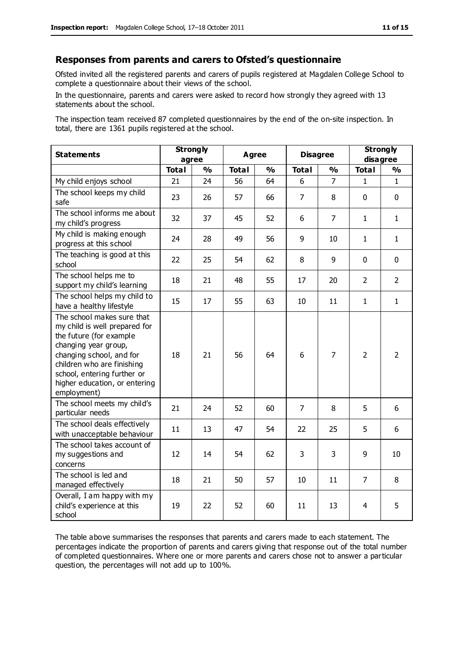#### **Responses from parents and carers to Ofsted's questionnaire**

Ofsted invited all the registered parents and carers of pupils registered at Magdalen College School to complete a questionnaire about their views of the school.

In the questionnaire, parents and carers were asked to record how strongly they agreed with 13 statements about the school.

The inspection team received 87 completed questionnaires by the end of the on-site inspection. In total, there are 1361 pupils registered at the school.

| <b>Statements</b>                                                                                                                                                                                                                                       | <b>Strongly</b><br>agree |               | Agree        |               | <b>Disagree</b> |                | <b>Strongly</b><br>disagree |                |
|---------------------------------------------------------------------------------------------------------------------------------------------------------------------------------------------------------------------------------------------------------|--------------------------|---------------|--------------|---------------|-----------------|----------------|-----------------------------|----------------|
|                                                                                                                                                                                                                                                         | <b>Total</b>             | $\frac{1}{2}$ | <b>Total</b> | $\frac{1}{2}$ | <b>Total</b>    | %              | <b>Total</b>                | %              |
| My child enjoys school                                                                                                                                                                                                                                  | 21                       | 24            | 56           | 64            | 6               | 7              | 1                           | $\mathbf{1}$   |
| The school keeps my child<br>safe                                                                                                                                                                                                                       | 23                       | 26            | 57           | 66            | $\overline{7}$  | 8              | $\mathbf 0$                 | $\mathbf 0$    |
| The school informs me about<br>my child's progress                                                                                                                                                                                                      | 32                       | 37            | 45           | 52            | 6               | $\overline{7}$ | $\mathbf{1}$                | $\mathbf{1}$   |
| My child is making enough<br>progress at this school                                                                                                                                                                                                    | 24                       | 28            | 49           | 56            | 9               | 10             | $\mathbf{1}$                | $\mathbf{1}$   |
| The teaching is good at this<br>school                                                                                                                                                                                                                  | 22                       | 25            | 54           | 62            | 8               | 9              | $\mathbf 0$                 | $\mathbf 0$    |
| The school helps me to<br>support my child's learning                                                                                                                                                                                                   | 18                       | 21            | 48           | 55            | 17              | 20             | $\overline{2}$              | $\overline{2}$ |
| The school helps my child to<br>have a healthy lifestyle                                                                                                                                                                                                | 15                       | 17            | 55           | 63            | 10              | 11             | $\mathbf{1}$                | $\mathbf{1}$   |
| The school makes sure that<br>my child is well prepared for<br>the future (for example<br>changing year group,<br>changing school, and for<br>children who are finishing<br>school, entering further or<br>higher education, or entering<br>employment) | 18                       | 21            | 56           | 64            | 6               | $\overline{7}$ | $\overline{2}$              | $\overline{2}$ |
| The school meets my child's<br>particular needs                                                                                                                                                                                                         | 21                       | 24            | 52           | 60            | $\overline{7}$  | 8              | 5                           | 6              |
| The school deals effectively<br>with unacceptable behaviour                                                                                                                                                                                             | 11                       | 13            | 47           | 54            | 22              | 25             | 5                           | 6              |
| The school takes account of<br>my suggestions and<br>concerns                                                                                                                                                                                           | 12                       | 14            | 54           | 62            | 3               | 3              | 9                           | 10             |
| The school is led and<br>managed effectively                                                                                                                                                                                                            | 18                       | 21            | 50           | 57            | 10              | 11             | $\overline{7}$              | 8              |
| Overall, I am happy with my<br>child's experience at this<br>school                                                                                                                                                                                     | 19                       | 22            | 52           | 60            | 11              | 13             | 4                           | 5              |

The table above summarises the responses that parents and carers made to each statement. The percentages indicate the proportion of parents and carers giving that response out of the total number of completed questionnaires. Where one or more parents and carers chose not to answer a particular question, the percentages will not add up to 100%.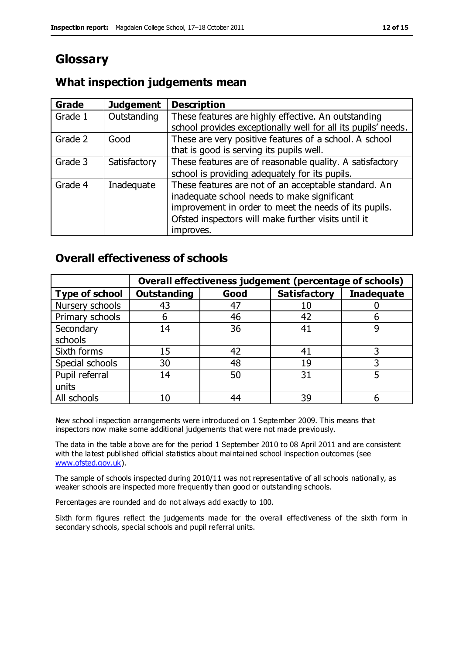# **Glossary**

## **What inspection judgements mean**

| <b>Grade</b> | <b>Judgement</b> | <b>Description</b>                                                                                                                                                                                                               |
|--------------|------------------|----------------------------------------------------------------------------------------------------------------------------------------------------------------------------------------------------------------------------------|
| Grade 1      | Outstanding      | These features are highly effective. An outstanding<br>school provides exceptionally well for all its pupils' needs.                                                                                                             |
| Grade 2      | Good             | These are very positive features of a school. A school<br>that is good is serving its pupils well.                                                                                                                               |
| Grade 3      | Satisfactory     | These features are of reasonable quality. A satisfactory<br>school is providing adequately for its pupils.                                                                                                                       |
| Grade 4      | Inadequate       | These features are not of an acceptable standard. An<br>inadequate school needs to make significant<br>improvement in order to meet the needs of its pupils.<br>Ofsted inspectors will make further visits until it<br>improves. |

## **Overall effectiveness of schools**

|                       |                    |      | Overall effectiveness judgement (percentage of schools) |                   |
|-----------------------|--------------------|------|---------------------------------------------------------|-------------------|
| <b>Type of school</b> | <b>Outstanding</b> | Good | <b>Satisfactory</b>                                     | <b>Inadequate</b> |
| Nursery schools       | 43                 | 47   | 10                                                      |                   |
| Primary schools       | 6                  | 46   | 42                                                      |                   |
| Secondary             | 14                 | 36   | 41                                                      |                   |
| schools               |                    |      |                                                         |                   |
| Sixth forms           | 15                 | 42   | 41                                                      | 3                 |
| Special schools       | 30                 | 48   | 19                                                      |                   |
| Pupil referral        | 14                 | 50   | 31                                                      |                   |
| units                 |                    |      |                                                         |                   |
| All schools           | 10                 | 44   | 39                                                      |                   |

New school inspection arrangements were introduced on 1 September 2009. This means that inspectors now make some additional judgements that were not made previously.

The data in the table above are for the period 1 September 2010 to 08 April 2011 and are consistent with the latest published official statistics about maintained school inspection outcomes (see [www.ofsted.gov.uk\)](http://www.ofsted.gov.uk/).

The sample of schools inspected during 2010/11 was not representative of all schools nationally, as weaker schools are inspected more frequently than good or outstanding schools.

Percentages are rounded and do not always add exactly to 100.

Sixth form figures reflect the judgements made for the overall effectiveness of the sixth form in secondary schools, special schools and pupil referral units.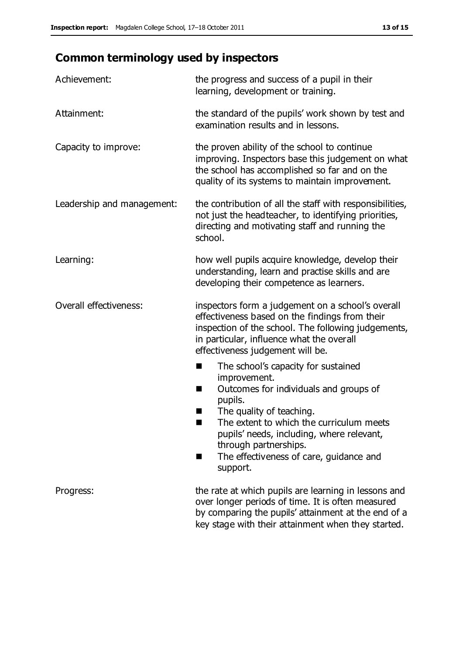# **Common terminology used by inspectors**

| Achievement:                  | the progress and success of a pupil in their<br>learning, development or training.                                                                                                                                                                                                                                           |  |  |
|-------------------------------|------------------------------------------------------------------------------------------------------------------------------------------------------------------------------------------------------------------------------------------------------------------------------------------------------------------------------|--|--|
| Attainment:                   | the standard of the pupils' work shown by test and<br>examination results and in lessons.                                                                                                                                                                                                                                    |  |  |
| Capacity to improve:          | the proven ability of the school to continue<br>improving. Inspectors base this judgement on what<br>the school has accomplished so far and on the<br>quality of its systems to maintain improvement.                                                                                                                        |  |  |
| Leadership and management:    | the contribution of all the staff with responsibilities,<br>not just the headteacher, to identifying priorities,<br>directing and motivating staff and running the<br>school.                                                                                                                                                |  |  |
| Learning:                     | how well pupils acquire knowledge, develop their<br>understanding, learn and practise skills and are<br>developing their competence as learners.                                                                                                                                                                             |  |  |
| <b>Overall effectiveness:</b> | inspectors form a judgement on a school's overall<br>effectiveness based on the findings from their<br>inspection of the school. The following judgements,<br>in particular, influence what the overall<br>effectiveness judgement will be.                                                                                  |  |  |
|                               | The school's capacity for sustained<br>×<br>improvement.<br>Outcomes for individuals and groups of<br>п<br>pupils.<br>The quality of teaching.<br>The extent to which the curriculum meets<br>pupils' needs, including, where relevant,<br>through partnerships.<br>The effectiveness of care, guidance and<br>■<br>support. |  |  |
| Progress:                     | the rate at which pupils are learning in lessons and<br>over longer periods of time. It is often measured<br>by comparing the pupils' attainment at the end of a<br>key stage with their attainment when they started.                                                                                                       |  |  |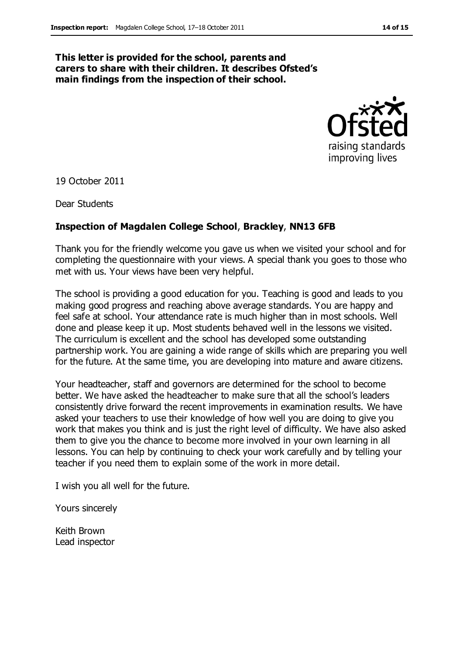#### **This letter is provided for the school, parents and carers to share with their children. It describes Ofsted's main findings from the inspection of their school.**



19 October 2011

Dear Students

#### **Inspection of Magdalen College School**, **Brackley**, **NN13 6FB**

Thank you for the friendly welcome you gave us when we visited your school and for completing the questionnaire with your views. A special thank you goes to those who met with us. Your views have been very helpful.

The school is providing a good education for you. Teaching is good and leads to you making good progress and reaching above average standards. You are happy and feel safe at school. Your attendance rate is much higher than in most schools. Well done and please keep it up. Most students behaved well in the lessons we visited. The curriculum is excellent and the school has developed some outstanding partnership work. You are gaining a wide range of skills which are preparing you well for the future. At the same time, you are developing into mature and aware citizens.

Your headteacher, staff and governors are determined for the school to become better. We have asked the headteacher to make sure that all the school's leaders consistently drive forward the recent improvements in examination results. We have asked your teachers to use their knowledge of how well you are doing to give you work that makes you think and is just the right level of difficulty. We have also asked them to give you the chance to become more involved in your own learning in all lessons. You can help by continuing to check your work carefully and by telling your teacher if you need them to explain some of the work in more detail.

I wish you all well for the future.

Yours sincerely

Keith Brown Lead inspector